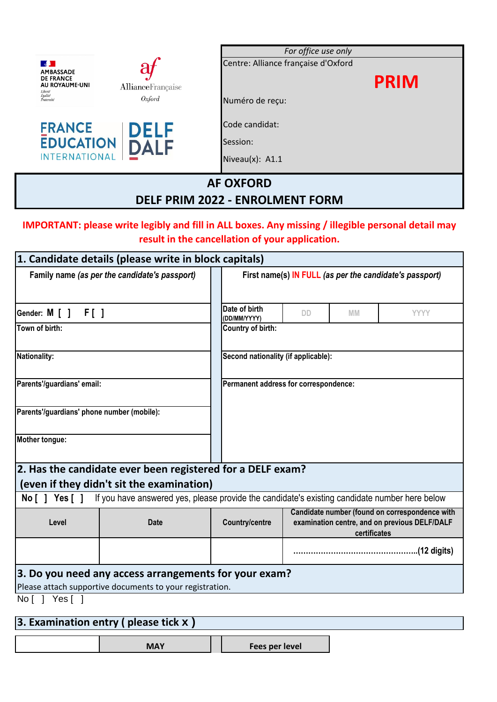|                                                                                                                                   | For office use only<br>Centre: Alliance française d'Oxford |  |  |  |
|-----------------------------------------------------------------------------------------------------------------------------------|------------------------------------------------------------|--|--|--|
| <b>AMBASSADE</b><br><b>DE FRANCE</b><br>AU ROYAUME-UNI<br><b>Alliance</b> Française<br>Liberté<br>Égalité<br>Oxford<br>Fraternité | <b>PRIM</b><br>Numéro de reçu:                             |  |  |  |
| <b>FRANCE</b><br><b>DELF</b><br><b>EDUCATION</b><br>DALF<br><b>INTERNATIONAL</b>                                                  | Code candidat:<br>Session:<br>Niveau(x): A1.1              |  |  |  |
| <b>AF OXFORD</b><br><b>DELF PRIM 2022 - ENROLMENT FORM</b>                                                                        |                                                            |  |  |  |

## **IMPORTANT: please write legibly and fill in ALL boxes. Any missing / illegible personal detail may result in the cancellation of your application.**

|                                            | 1. Candidate details (please write in block capitals)                                                             |                                                         |                                                                                                                 |           |                       |
|--------------------------------------------|-------------------------------------------------------------------------------------------------------------------|---------------------------------------------------------|-----------------------------------------------------------------------------------------------------------------|-----------|-----------------------|
|                                            | Family name (as per the candidate's passport)                                                                     | First name(s) IN FULL (as per the candidate's passport) |                                                                                                                 |           |                       |
| Gender: M [ ] F [ ]                        |                                                                                                                   | Date of birth<br>(DD/MM/YYYY)                           | <b>DD</b>                                                                                                       | <b>MM</b> | <b>YYYY</b>           |
| Town of birth:                             |                                                                                                                   | Country of birth:                                       |                                                                                                                 |           |                       |
| Nationality:                               |                                                                                                                   | Second nationality (if applicable):                     |                                                                                                                 |           |                       |
| Parents'/guardians' email:                 |                                                                                                                   | Permanent address for correspondence:                   |                                                                                                                 |           |                       |
| Parents'/guardians' phone number (mobile): |                                                                                                                   |                                                         |                                                                                                                 |           |                       |
| Mother tongue:                             |                                                                                                                   |                                                         |                                                                                                                 |           |                       |
|                                            | 2. Has the candidate ever been registered for a DELF exam?                                                        |                                                         |                                                                                                                 |           |                       |
|                                            | (even if they didn't sit the examination)                                                                         |                                                         |                                                                                                                 |           |                       |
| No [ ] Yes [ ]                             | If you have answered yes, please provide the candidate's existing candidate number here below                     |                                                         |                                                                                                                 |           |                       |
| Level                                      | <b>Date</b>                                                                                                       | <b>Country/centre</b>                                   | Candidate number (found on correspondence with<br>examination centre, and on previous DELF/DALF<br>certificates |           |                       |
|                                            |                                                                                                                   |                                                         |                                                                                                                 |           | $(12 \text{ digits})$ |
|                                            | 3. Do you need any access arrangements for your exam?<br>Please attach supportive documents to your registration. |                                                         |                                                                                                                 |           |                       |
| No [ ] Yes [ ]                             |                                                                                                                   |                                                         |                                                                                                                 |           |                       |
|                                            |                                                                                                                   |                                                         |                                                                                                                 |           |                       |

# **3. Examination entry ( please tick x )**

| Fees per level |
|----------------|
|----------------|